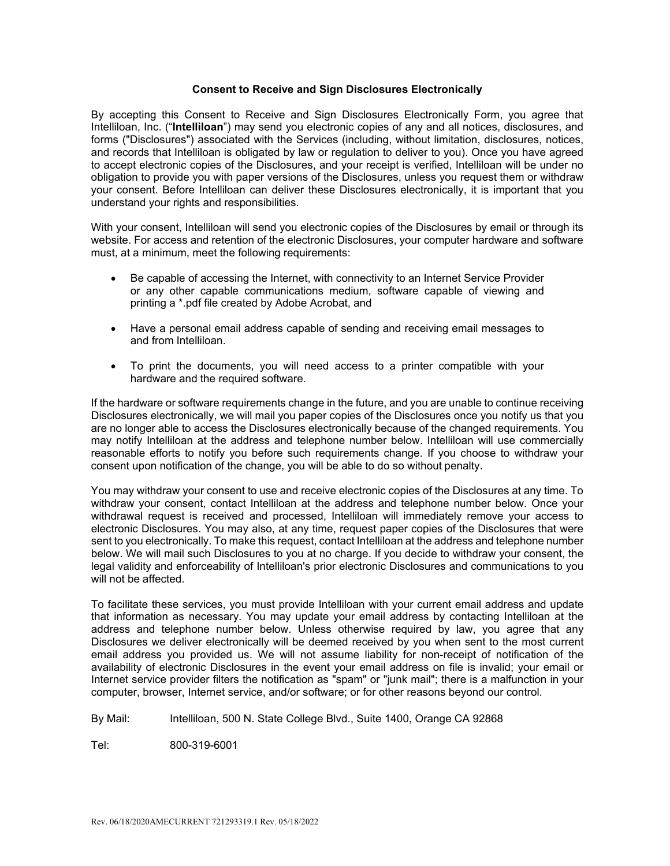## **Consent to Receive and Sign Disclosures Electronically**

By accepting this Consent to Receive and Sign Disclosures Electronically Form, you agree that Intelliloan, Inc. ("**Intelliloan**") may send you electronic copies of any and all notices, disclosures, and forms ("Disclosures") associated with the Services (including, without limitation, disclosures, notices, and records that Intelliloan is obligated by law or regulation to deliver to you). Once you have agreed to accept electronic copies of the Disclosures, and your receipt is verified, Intelliloan will be under no obligation to provide you with paper versions of the Disclosures, unless you request them or withdraw your consent. Before Intelliloan can deliver these Disclosures electronically, it is important that you understand your rights and responsibilities.

With your consent, Intelliloan will send you electronic copies of the Disclosures by email or through its website. For access and retention of the electronic Disclosures, your computer hardware and software must, at a minimum, meet the following requirements:

- Be capable of accessing the Internet, with connectivity to an Internet Service Provider or any other capable communications medium, software capable of viewing and printing a \*.pdf file created by Adobe Acrobat, and
- Have a personal email address capable of sending and receiving email messages to and from Intelliloan.
- To print the documents, you will need access to a printer compatible with your hardware and the required software.

If the hardware or software requirements change in the future, and you are unable to continue receiving Disclosures electronically, we will mail you paper copies of the Disclosures once you notify us that you are no longer able to access the Disclosures electronically because of the changed requirements. You may notify Intelliloan at the address and telephone number below. Intelliloan will use commercially reasonable efforts to notify you before such requirements change. If you choose to withdraw your consent upon notification of the change, you will be able to do so without penalty.

You may withdraw your consent to use and receive electronic copies of the Disclosures at any time. To withdraw your consent, contact Intelliloan at the address and telephone number below. Once your withdrawal request is received and processed, Intelliloan will immediately remove your access to electronic Disclosures. You may also, at any time, request paper copies of the Disclosures that were sent to you electronically. To make this request, contact Intelliloan at the address and telephone number below. We will mail such Disclosures to you at no charge. If you decide to withdraw your consent, the legal validity and enforceability of Intelliloan's prior electronic Disclosures and communications to you will not be affected.

To facilitate these services, you must provide Intelliloan with your current email address and update that information as necessary. You may update your email address by contacting Intelliloan at the address and telephone number below. Unless otherwise required by law, you agree that any Disclosures we deliver electronically will be deemed received by you when sent to the most current email address you provided us. We will not assume liability for non-receipt of notification of the availability of electronic Disclosures in the event your email address on file is invalid; your email or Internet service provider filters the notification as "spam" or "junk mail"; there is a malfunction in your computer, browser, Internet service, and/or software; or for other reasons beyond our control.

By Mail: Intelliloan, 500 N. State College Blvd., Suite 1400, Orange CA 92868

Tel: 800-319-6001